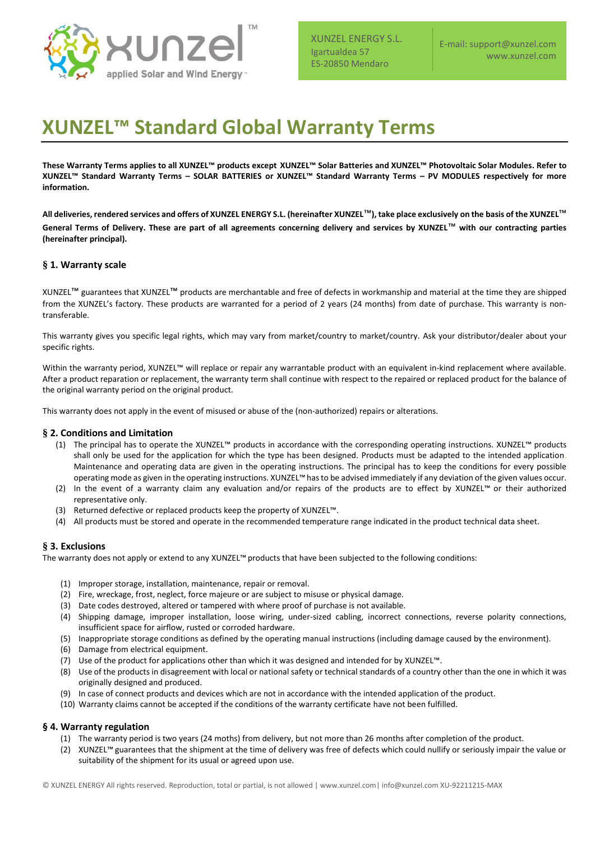

E-mail: support@xunzel.com www.xunzel.com

# **XUNZEL™ Standard Global Warranty Terms**

**These Warranty Terms applies to all XUNZEL™ products except XUNZEL™ Solar Batteries and XUNZEL™ Photovoltaic Solar Modules. Refer to XUNZEL™ Standard Warranty Terms – SOLAR BATTERIES or XUNZEL™ Standard Warranty Terms – PV MODULES respectively for more information.**

**All deliveries, rendered services and offers of XUNZEL ENERGY S.L. (hereinafter XUNZEL**™**), take place exclusively on the basis of the XUNZEL**™ **General Terms of Delivery. These are part of all agreements concerning delivery and services by XUNZEL**™ **with our contracting parties (hereinafter principal).** 

# **§ 1. Warranty scale**

XUNZEL™ guarantees that XUNZEL™ products are merchantable and free of defects in workmanship and material at the time they are shipped from the XUNZEL's factory. These products are warranted for a period of 2 years (24 months) from date of purchase. This warranty is nontransferable.

This warranty gives you specific legal rights, which may vary from market/country to market/country. Ask your distributor/dealer about your specific rights.

Within the warranty period, XUNZEL™ will replace or repair any warrantable product with an equivalent in-kind replacement where available. After a product reparation or replacement, the warranty term shall continue with respect to the repaired or replaced product for the balance of the original warranty period on the original product.

This warranty does not apply in the event of misused or abuse of the (non-authorized) repairs or alterations.

## **§ 2. Conditions and Limitation**

- (1) The principal has to operate the XUNZEL™ products in accordance with the corresponding operating instructions. XUNZEL™ products shall only be used for the application for which the type has been designed. Products must be adapted to the intended application. Maintenance and operating data are given in the operating instructions. The principal has to keep the conditions for every possible operating mode as given in the operating instructions. XUNZEL™has to be advised immediately if any deviation of the given values occur.
- (2) In the event of a warranty claim any evaluation and/or repairs of the products are to effect by XUNZEL™ or their authorized representative only.
- (3) Returned defective or replaced products keep the property of XUNZEL™.
- (4) All products must be stored and operate in the recommended temperature range indicated in the product technical data sheet.

## **§ 3. Exclusions**

The warranty does not apply or extend to any XUNZEL™ products that have been subjected to the following conditions:

- (1) Improper storage, installation, maintenance, repair or removal.
- (2) Fire, wreckage, frost, neglect, force majeure or are subject to misuse or physical damage.
- (3) Date codes destroyed, altered or tampered with where proof of purchase is not available.
- (4) Shipping damage, improper installation, loose wiring, under-sized cabling, incorrect connections, reverse polarity connections, insufficient space for airflow, rusted or corroded hardware.
- (5) Inappropriate storage conditions as defined by the operating manual instructions (including damage caused by the environment).
- (6) Damage from electrical equipment.
- (7) Use of the product for applications other than which it was designed and intended for by XUNZEL™.
- (8) Use of the products in disagreement with local or national safety or technical standards of a country other than the one in which it was originally designed and produced.
- (9) In case of connect products and devices which are not in accordance with the intended application of the product.
- (10) Warranty claims cannot be accepted if the conditions of the warranty certificate have not been fulfilled.

## **§ 4. Warranty regulation**

- (1) The warranty period is two years (24 moths) from delivery, but not more than 26 months after completion of the product.
- (2) XUNZEL™ guarantees that the shipment at the time of delivery was free of defects which could nullify or seriously impair the value or suitability of the shipment for its usual or agreed upon use.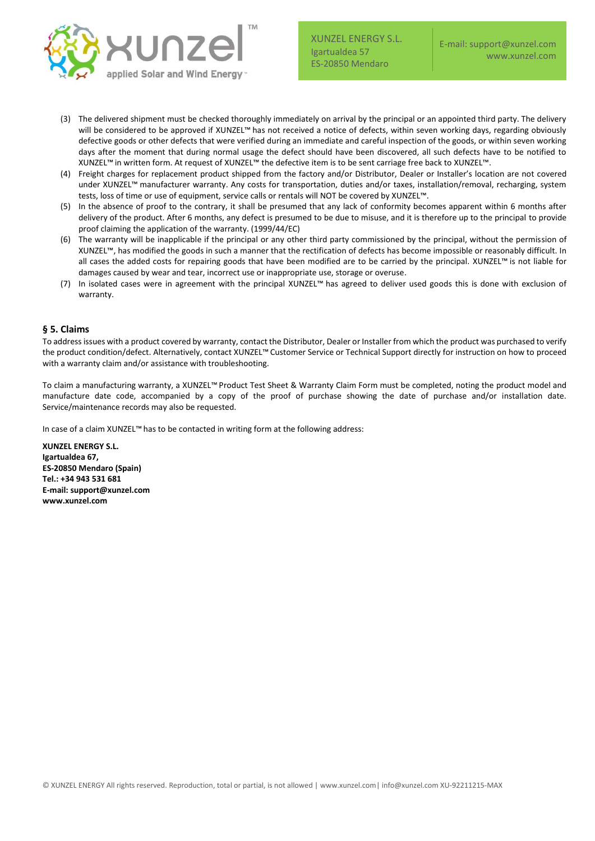

- (3) The delivered shipment must be checked thoroughly immediately on arrival by the principal or an appointed third party. The delivery will be considered to be approved if XUNZEL™ has not received a notice of defects, within seven working days, regarding obviously defective goods or other defects that were verified during an immediate and careful inspection of the goods, or within seven working days after the moment that during normal usage the defect should have been discovered, all such defects have to be notified to XUNZEL™ in written form. At request of XUNZEL™ the defective item is to be sent carriage free back to XUNZEL™.
- (4) Freight charges for replacement product shipped from the factory and/or Distributor, Dealer or Installer's location are not covered under XUNZEL™ manufacturer warranty. Any costs for transportation, duties and/or taxes, installation/removal, recharging, system tests, loss of time or use of equipment, service calls or rentals will NOT be covered by XUNZEL™.
- (5) In the absence of proof to the contrary, it shall be presumed that any lack of conformity becomes apparent within 6 months after delivery of the product. After 6 months, any defect is presumed to be due to misuse, and it is therefore up to the principal to provide proof claiming the application of the warranty. (1999/44/EC)
- (6) The warranty will be inapplicable if the principal or any other third party commissioned by the principal, without the permission of XUNZEL™, has modified the goods in such a manner that the rectification of defects has become impossible or reasonably difficult. In all cases the added costs for repairing goods that have been modified are to be carried by the principal. XUNZEL™ is not liable for damages caused by wear and tear, incorrect use or inappropriate use, storage or overuse.
- (7) In isolated cases were in agreement with the principal XUNZEL™ has agreed to deliver used goods this is done with exclusion of warranty.

# **§ 5. Claims**

To address issues with a product covered by warranty, contact the Distributor, Dealer or Installer from which the product was purchased to verify the product condition/defect. Alternatively, contact XUNZEL™ Customer Service or Technical Support directly for instruction on how to proceed with a warranty claim and/or assistance with troubleshooting.

To claim a manufacturing warranty, a XUNZEL™ Product Test Sheet & Warranty Claim Form must be completed, noting the product model and manufacture date code, accompanied by a copy of the proof of purchase showing the date of purchase and/or installation date. Service/maintenance records may also be requested.

In case of a claim XUNZEL™ has to be contacted in writing form at the following address:

**XUNZEL ENERGY S.L. Igartualdea 67, ES-20850 Mendaro (Spain) Tel.: +34 943 531 681 E-mail: support@xunzel.com www.xunzel.com**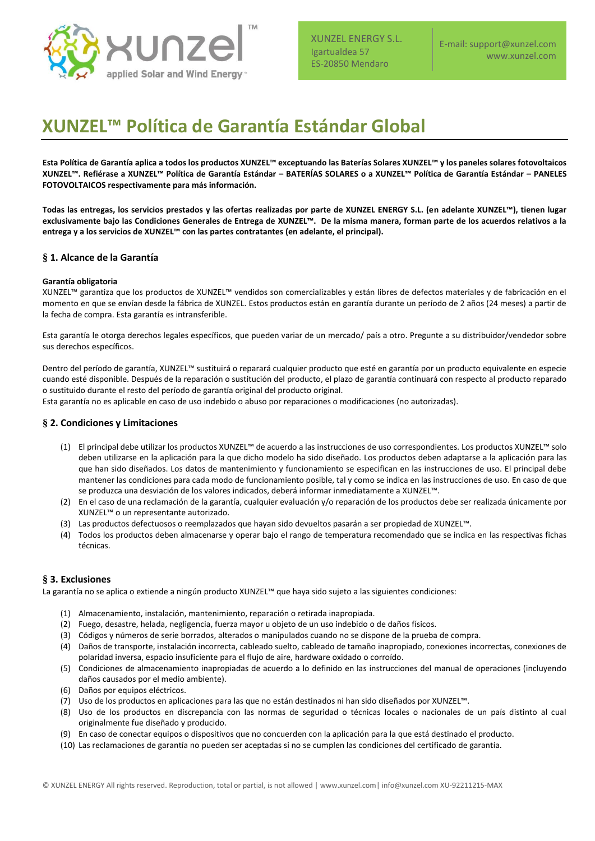

E-mail: support@xunzel.com www.xunzel.com

# **XUNZEL™ Política de Garantía Estándar Global**

**Esta Política de Garantía aplica a todos los productos XUNZEL™ exceptuando las Baterías Solares XUNZEL™ y los paneles solares fotovoltaicos XUNZEL™. Refiérase a XUNZEL™ Política de Garantía Estándar – BATERÍAS SOLARES o a XUNZEL™ Política de Garantía Estándar – PANELES FOTOVOLTAICOS respectivamente para más información.**

**Todas las entregas, los servicios prestados y las ofertas realizadas por parte de XUNZEL ENERGY S.L. (en adelante XUNZEL™), tienen lugar exclusivamente bajo las Condiciones Generales de Entrega de XUNZEL™. De la misma manera, forman parte de los acuerdos relativos a la entrega y a los servicios de XUNZEL™ con las partes contratantes (en adelante, el principal).**

# **§ 1. Alcance de la Garantía**

#### **Garantía obligatoria**

XUNZEL™ garantiza que los productos de XUNZEL™ vendidos son comercializables y están libres de defectos materiales y de fabricación en el momento en que se envían desde la fábrica de XUNZEL. Estos productos están en garantía durante un período de 2 años (24 meses) a partir de la fecha de compra. Esta garantía es intransferible.

Esta garantía le otorga derechos legales específicos, que pueden variar de un mercado/ país a otro. Pregunte a su distribuidor/vendedor sobre sus derechos específicos.

Dentro del período de garantía, XUNZEL™ sustituirá o reparará cualquier producto que esté en garantía por un producto equivalente en especie cuando esté disponible. Después de la reparación o sustitución del producto, el plazo de garantía continuará con respecto al producto reparado o sustituido durante el resto del período de garantía original del producto original.

Esta garantía no es aplicable en caso de uso indebido o abuso por reparaciones o modificaciones (no autorizadas).

## **§ 2. Condiciones y Limitaciones**

- (1) El principal debe utilizar los productos XUNZEL™ de acuerdo a las instrucciones de uso correspondientes. Los productos XUNZEL™ solo deben utilizarse en la aplicación para la que dicho modelo ha sido diseñado. Los productos deben adaptarse a la aplicación para las que han sido diseñados. Los datos de mantenimiento y funcionamiento se especifican en las instrucciones de uso. El principal debe mantener las condiciones para cada modo de funcionamiento posible, tal y como se indica en las instrucciones de uso. En caso de que se produzca una desviación de los valores indicados, deberá informar inmediatamente a XUNZEL™.
- (2) En el caso de una reclamación de la garantía, cualquier evaluación y/o reparación de los productos debe ser realizada únicamente por XUNZEL™ o un representante autorizado.
- (3) Las productos defectuosos o reemplazados que hayan sido devueltos pasarán a ser propiedad de XUNZEL™.
- (4) Todos los productos deben almacenarse y operar bajo el rango de temperatura recomendado que se indica en las respectivas fichas técnicas.

## **§ 3. Exclusiones**

La garantía no se aplica o extiende a ningún producto XUNZEL™ que haya sido sujeto a las siguientes condiciones:

- (1) Almacenamiento, instalación, mantenimiento, reparación o retirada inapropiada.
- (2) Fuego, desastre, helada, negligencia, fuerza mayor u objeto de un uso indebido o de daños físicos.
- (3) Códigos y números de serie borrados, alterados o manipulados cuando no se dispone de la prueba de compra.
- (4) Daños de transporte, instalación incorrecta, cableado suelto, cableado de tamaño inapropiado, conexiones incorrectas, conexiones de polaridad inversa, espacio insuficiente para el flujo de aire, hardware oxidado o corroído.
- (5) Condiciones de almacenamiento inapropiadas de acuerdo a lo definido en las instrucciones del manual de operaciones (incluyendo daños causados por el medio ambiente).
- (6) Daños por equipos eléctricos.
- (7) Uso de los productos en aplicaciones para las que no están destinados ni han sido diseñados por XUNZEL™.
- (8) Uso de los productos en discrepancia con las normas de seguridad o técnicas locales o nacionales de un país distinto al cual originalmente fue diseñado y producido.
- (9) En caso de conectar equipos o dispositivos que no concuerden con la aplicación para la que está destinado el producto.
- (10) Las reclamaciones de garantía no pueden ser aceptadas si no se cumplen las condiciones del certificado de garantía.